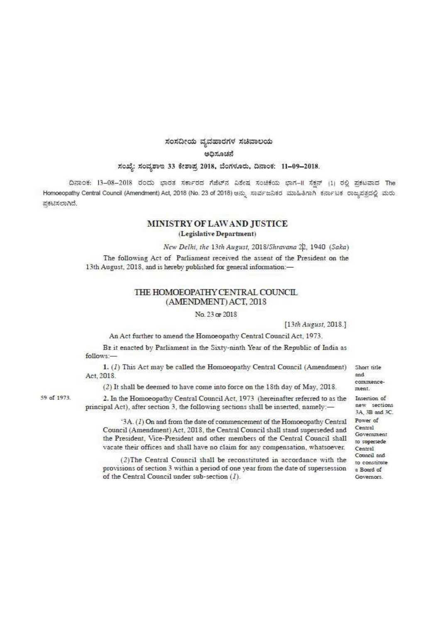# ಸಂಸದೀಯ ವ್ಯವಹಾರಗಳ ಸಚಿವಾಲಯ

esfant near

### ಸಂಖ್ಯೆ: ಸಂವೃಶಾಇ 33 ಕೇಶಾಪ್ರ 2018, ಬೆಂಗಳೂರು, ದಿನಾಂಕ: 11-09-2018.

ದಿನಾಂಕ: 13-08-2018 ರಂದು ಭಾರತ ಸರ್ಕಾರದ ಗೆಜೆಟ್ ವಿಶೇಷ ಸಂಚಿಕೆಯ ಭಾಗ-II ಸೆಕ್ಷನ್ (1) ರಲ್ಲಿ ಪ್ರಕಟವಾದ The Homoeopathy Central Council (Amendment) Act, 2018 (No. 23 of 2018) ಆನ್ಸು ಸಾರ್ವಜನಿಕರ ಮಾಹಿತಿಗಾಗಿ ಕರ್ನಾಟಕ ರಾಜ್ಯಪತ್ರದಲ್ಲಿ ಮರು ಪ್ರಕಟಿಸಲಾಗಿದೆ.

# MINISTRY OF LAWAND JUSTICE (Legislative Department)

New Delhi, the 13th August, 2018/Shravana 22, 1940 (Saka)

The following Act of Parliament received the assent of the President on the 13th August, 2018, and is hereby published for general information:-

## THE HOMOEOPATHY CENTRAL COUNCIL (AMENDMENT) ACT, 2018

#### No. 23 or 2018

[13th August, 2018.]

An Act further to amend the Homoeopathy Central Council Act, 1973.

BE it enacted by Parliament in the Sixty-ninth Year of the Republic of India as follows:

1. (1) This Act may be called the Homoeopathy Central Council (Amendment) Act, 2018.

Short title hee commencement

(2) It shall be deemed to have come into force on the 18th day of May, 2018.

2. In the Homoeopathy Central Council Act, 1973 (hereinafter referred to as the Insertion of principal Act), after section 3, the following sections shall be inserted, namely:-

'3A.  $(l)$  On and from the date of commencement of the Homoeopathy Central Power of Council (Amendment) Act, 2018, the Central Council shall stand superseded and the President, Vice-President and other members of the Central Council shall vacate their offices and shall have no claim for any compensation, whatsoever.

(2) The Central Council shall be reconstituted in accordance with the provisions of section 3 within a period of one year from the date of supersession of the Central Council under sub-section  $(I)$ .

new sections 3A, 3B and 3C. Central Government to supersede Central Council and

to constitute

a Board of

Governors.

59 of 1973.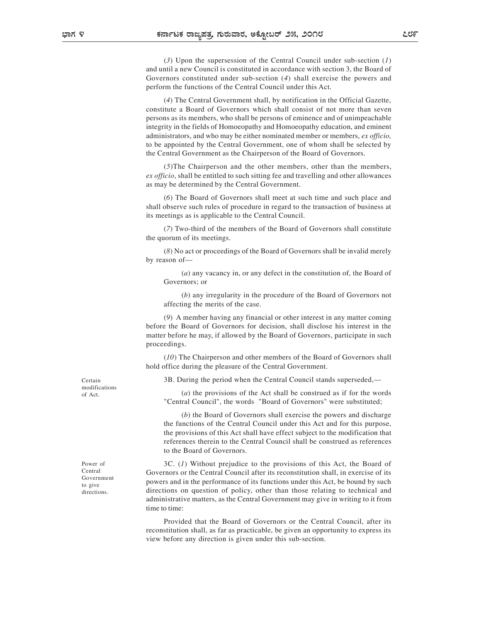(3) Upon the supersession of the Central Council under sub-section  $(1)$ and until a new Council is constituted in accordance with section 3, the Board of Governors constituted under sub-section (4) shall exercise the powers and perform the functions of the Central Council under this Act.

(4) The Central Government shall, by notification in the Official Gazette, constitute a Board of Governors which shall consist of not more than seven persons as its members, who shall be persons of eminence and of unimpeachable integrity in the fields of Homoeopathy and Homoeopathy education, and eminent administrators, and who may be either nominated member or members, ex officio, to be appointed by the Central Government, one of whom shall be selected by the Central Government as the Chairperson of the Board of Governors.

(5)The Chairperson and the other members, other than the members, ex officio, shall be entitled to such sitting fee and travelling and other allowances as may be determined by the Central Government.

(6) The Board of Governors shall meet at such time and such place and shall observe such rules of procedure in regard to the transaction of business at its meetings as is applicable to the Central Council.

(7) Two-third of the members of the Board of Governors shall constitute the quorum of its meetings.

(8) No act or proceedings of the Board of Governors shall be invalid merely by reason of—

(a) any vacancy in, or any defect in the constitution of, the Board of Governors; or

(b) any irregularity in the procedure of the Board of Governors not affecting the merits of the case.

(9) A member having any financial or other interest in any matter coming before the Board of Governors for decision, shall disclose his interest in the matter before he may, if allowed by the Board of Governors, participate in such proceedings.

(10) The Chairperson and other members of the Board of Governors shall hold office during the pleasure of the Central Government.

3B. During the period when the Central Council stands superseded,— Certain

(a) the provisions of the Act shall be construed as if for the words "Central Council", the words "Board of Governors" were substituted;

(b) the Board of Governors shall exercise the powers and discharge the functions of the Central Council under this Act and for this purpose, the provisions of this Act shall have effect subject to the modification that references therein to the Central Council shall be construed as references to the Board of Governors.

Power of 3C. (1) Without prejudice to the provisions of this Act, the Board of Governors or the Central Council after its reconstitution shall, in exercise of its Central powers and in the performance of its functions under this Act, be bound by such to give directions on question of policy, other than those relating to technical and administrative matters, as the Central Government may give in writing to it from time to time:

> Provided that the Board of Governors or the Central Council, after its reconstitution shall, as far as practicable, be given an opportunity to express its view before any direction is given under this sub-section.

modifications of Act.

Government directions.